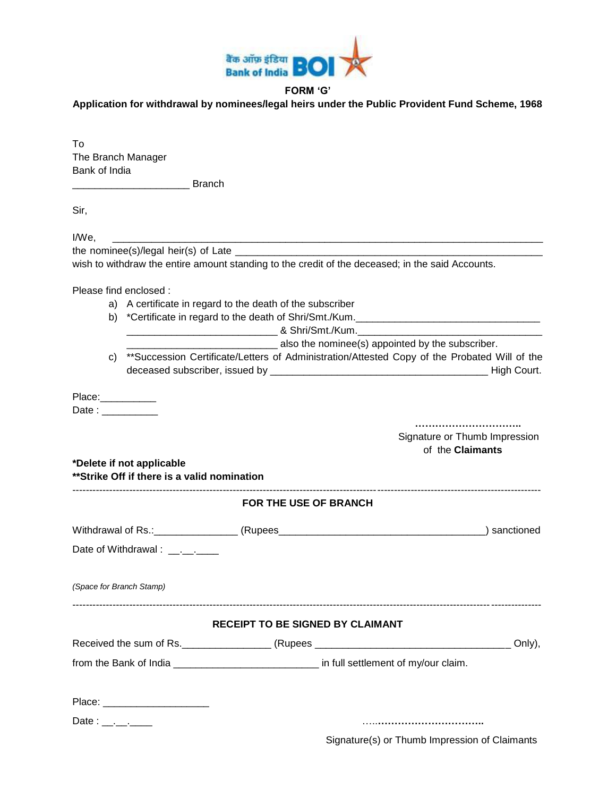

## **FORM 'G'**

**Application for withdrawal by nominees/legal heirs under the Public Provident Fund Scheme, 1968**

| To<br>The Branch Manager<br>Bank of India |                                                                          |                                                           |                                                                                                  |                                                                                              |
|-------------------------------------------|--------------------------------------------------------------------------|-----------------------------------------------------------|--------------------------------------------------------------------------------------------------|----------------------------------------------------------------------------------------------|
|                                           | <b>Example 1</b> Branch                                                  |                                                           |                                                                                                  |                                                                                              |
| Sir,                                      |                                                                          |                                                           |                                                                                                  |                                                                                              |
| I/We,                                     |                                                                          |                                                           | wish to withdraw the entire amount standing to the credit of the deceased; in the said Accounts. |                                                                                              |
| Please find enclosed :                    |                                                                          | a) A certificate in regard to the death of the subscriber | also the nominee(s) appointed by the subscriber.                                                 |                                                                                              |
| C)                                        |                                                                          |                                                           |                                                                                                  | **Succession Certificate/Letters of Administration/Attested Copy of the Probated Will of the |
| Place:___________<br>Date:                | *Delete if not applicable<br>**Strike Off if there is a valid nomination |                                                           |                                                                                                  | Signature or Thumb Impression<br>of the <b>Claimants</b>                                     |
|                                           |                                                                          |                                                           | <b>FOR THE USE OF BRANCH</b>                                                                     |                                                                                              |
|                                           |                                                                          |                                                           |                                                                                                  |                                                                                              |
|                                           | Date of Withdrawal : _________                                           |                                                           |                                                                                                  |                                                                                              |
| (Space for Branch Stamp)                  |                                                                          |                                                           |                                                                                                  |                                                                                              |
|                                           |                                                                          |                                                           | <b>RECEIPT TO BE SIGNED BY CLAIMANT</b>                                                          |                                                                                              |
|                                           |                                                                          |                                                           |                                                                                                  |                                                                                              |
|                                           |                                                                          |                                                           | from the Bank of India _______________________________ in full settlement of my/our claim.       |                                                                                              |
| Date: $\frac{1}{2}$                       | Place: _______________________                                           |                                                           |                                                                                                  |                                                                                              |
|                                           |                                                                          |                                                           |                                                                                                  |                                                                                              |

Signature(s) or Thumb Impression of Claimants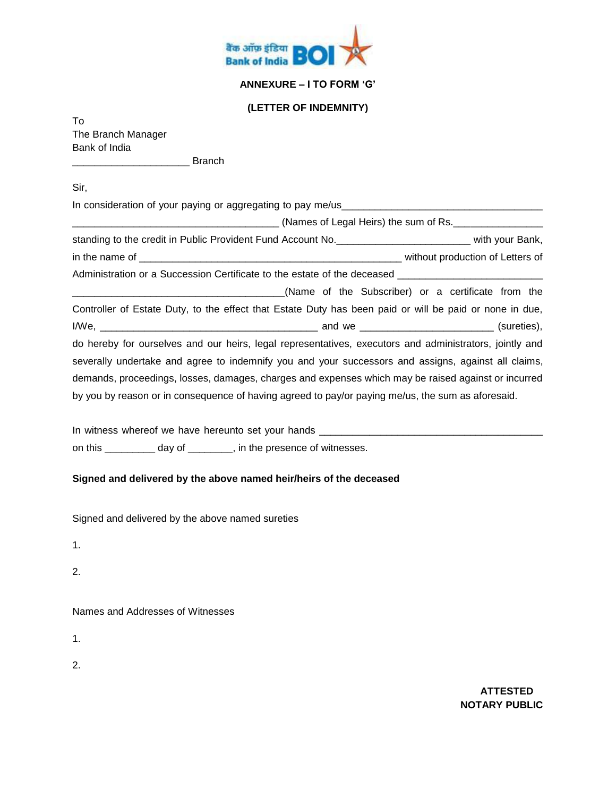

## **ANNEXURE – I TO FORM 'G'**

## **(LETTER OF INDEMNITY)**

To The Branch Manager Bank of India

\_\_\_\_\_\_\_\_\_\_\_\_\_\_\_\_\_\_\_\_\_ Branch

Sir,

In consideration of your paying or aggregating to pay me/us\_\_\_\_\_\_\_\_\_\_\_\_\_\_\_\_\_\_\_\_\_\_\_\_\_\_\_\_\_\_\_\_\_\_\_\_

|                                                                                                           | (Names of Legal Heirs) the sum of Rs.              |  |  |  |  |  |
|-----------------------------------------------------------------------------------------------------------|----------------------------------------------------|--|--|--|--|--|
| standing to the credit in Public Provident Fund Account No. _____________________________ with your Bank, |                                                    |  |  |  |  |  |
|                                                                                                           |                                                    |  |  |  |  |  |
| Administration or a Succession Certificate to the estate of the deceased __________________________       |                                                    |  |  |  |  |  |
|                                                                                                           | (Name of the Subscriber) or a certificate from the |  |  |  |  |  |
| Controller of Estate Duty, to the effect that Estate Duty has been paid or will be paid or none in due,   |                                                    |  |  |  |  |  |
|                                                                                                           |                                                    |  |  |  |  |  |
| do hereby for ourselves and our heirs, legal representatives, executors and administrators, jointly and   |                                                    |  |  |  |  |  |
| severally undertake and agree to indemnify you and your successors and assigns, against all claims,       |                                                    |  |  |  |  |  |
| demands, proceedings, losses, damages, charges and expenses which may be raised against or incurred       |                                                    |  |  |  |  |  |
| by you by reason or in consequence of having agreed to pay/or paying me/us, the sum as aforesaid.         |                                                    |  |  |  |  |  |

In witness whereof we have hereunto set your hands \_\_\_\_\_\_\_\_\_\_\_\_\_\_\_\_\_\_\_\_\_\_\_\_\_\_\_\_\_\_\_\_\_\_\_\_\_\_\_\_ on this \_\_\_\_\_\_\_\_\_ day of \_\_\_\_\_\_\_\_, in the presence of witnesses.

## **Signed and delivered by the above named heir/heirs of the deceased**

Signed and delivered by the above named sureties

1.

2.

Names and Addresses of Witnesses

1.

2.

**ATTESTED NOTARY PUBLIC**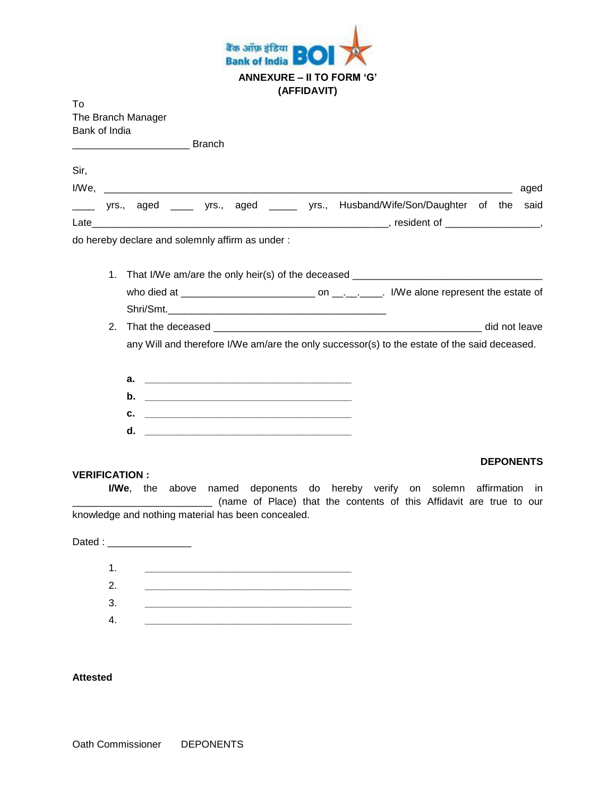

| Т٥                 |  |
|--------------------|--|
| The Branch Manager |  |
| Bank of India      |  |

**Example 2** Branch

| <b>Sir</b> |  |                                                  |  |  |                                                                               |  |      |
|------------|--|--------------------------------------------------|--|--|-------------------------------------------------------------------------------|--|------|
| I/We.      |  |                                                  |  |  |                                                                               |  | aged |
|            |  |                                                  |  |  | yrs., aged _____ yrs., aged _____ yrs., Husband/Wife/Son/Daughter of the said |  |      |
| Late       |  |                                                  |  |  | resident of $\qquad \qquad$                                                   |  |      |
|            |  | de haraby dealers and colomply offirm as under , |  |  |                                                                               |  |      |

do hereby declare and solemnly affirm as under :

- 1. That I/We am/are the only heir(s) of the deceased \_\_\_\_\_\_\_\_\_\_\_\_\_\_\_\_\_\_\_\_\_\_\_\_\_\_\_ who died at \_\_\_\_\_\_\_\_\_\_\_\_\_\_\_\_\_\_\_\_\_\_\_\_ on \_\_.\_\_.\_\_\_\_. I/We alone represent the estate of
- Shri/Smt.\_\_\_\_\_\_\_\_\_\_\_\_\_\_\_\_\_\_\_\_\_\_\_\_\_\_\_\_\_\_\_\_\_\_\_\_\_\_\_ 2. That the deceased \_\_\_\_\_\_\_\_\_\_\_\_\_\_\_\_\_\_\_\_\_\_\_\_\_\_\_\_\_\_\_\_\_\_\_\_\_\_\_\_\_\_\_\_\_\_\_\_ did not leave

any Will and therefore I/We am/are the only successor(s) to the estate of the said deceased.

- **a. \_\_\_\_\_\_\_\_\_\_\_\_\_\_\_\_\_\_\_\_\_\_\_\_\_\_\_\_\_\_\_\_\_\_\_\_\_**
- **b. \_\_\_\_\_\_\_\_\_\_\_\_\_\_\_\_\_\_\_\_\_\_\_\_\_\_\_\_\_\_\_\_\_\_\_\_\_**
- **c. \_\_\_\_\_\_\_\_\_\_\_\_\_\_\_\_\_\_\_\_\_\_\_\_\_\_\_\_\_\_\_\_\_\_\_\_\_**
- **d. \_\_\_\_\_\_\_\_\_\_\_\_\_\_\_\_\_\_\_\_\_\_\_\_\_\_\_\_\_\_\_\_\_\_\_\_\_**

### **VERIFICATION :**

### **DEPONENTS**

**I/We**, the above named deponents do hereby verify on solemn affirmation in \_\_\_\_\_\_\_\_\_\_\_\_\_\_\_\_\_\_\_\_\_\_\_\_\_ (name of Place) that the contents of this Affidavit are true to our knowledge and nothing material has been concealed.

Dated :



### **Attested**